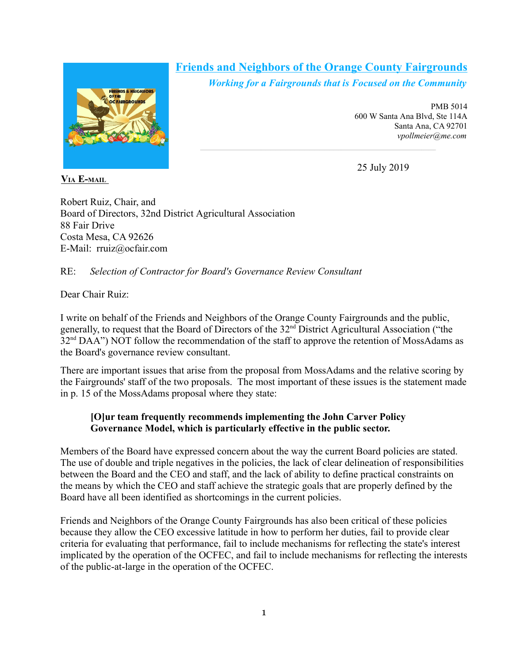

## **Friends and Neighbors of the Orange County Fairgrounds**

 $\mathcal{L}_\text{max}$ 

*Working for a Fairgrounds that is Focused on the Community*

PMB 5014 600 W Santa Ana Blvd, Ste 114A Santa Ana, CA 92701 *vpollmeier@me.com*

25 July 2019

Robert Ruiz, Chair, and Board of Directors, 32nd District Agricultural Association 88 Fair Drive Costa Mesa, CA 92626 E-Mail: rruiz@ocfair.com

## RE: *Selection of Contractor for Board's Governance Review Consultant*

Dear Chair Ruiz:

I write on behalf of the Friends and Neighbors of the Orange County Fairgrounds and the public, generally, to request that the Board of Directors of the 32nd District Agricultural Association ("the 32<sup>nd</sup> DAA") NOT follow the recommendation of the staff to approve the retention of MossAdams as the Board's governance review consultant.

There are important issues that arise from the proposal from MossAdams and the relative scoring by the Fairgrounds' staff of the two proposals. The most important of these issues is the statement made in p. 15 of the MossAdams proposal where they state:

## **[O]ur team frequently recommends implementing the John Carver Policy Governance Model, which is particularly effective in the public sector.**

Members of the Board have expressed concern about the way the current Board policies are stated. The use of double and triple negatives in the policies, the lack of clear delineation of responsibilities between the Board and the CEO and staff, and the lack of ability to define practical constraints on the means by which the CEO and staff achieve the strategic goals that are properly defined by the Board have all been identified as shortcomings in the current policies.

Friends and Neighbors of the Orange County Fairgrounds has also been critical of these policies because they allow the CEO excessive latitude in how to perform her duties, fail to provide clear criteria for evaluating that performance, fail to include mechanisms for reflecting the state's interest implicated by the operation of the OCFEC, and fail to include mechanisms for reflecting the interests of the public-at-large in the operation of the OCFEC.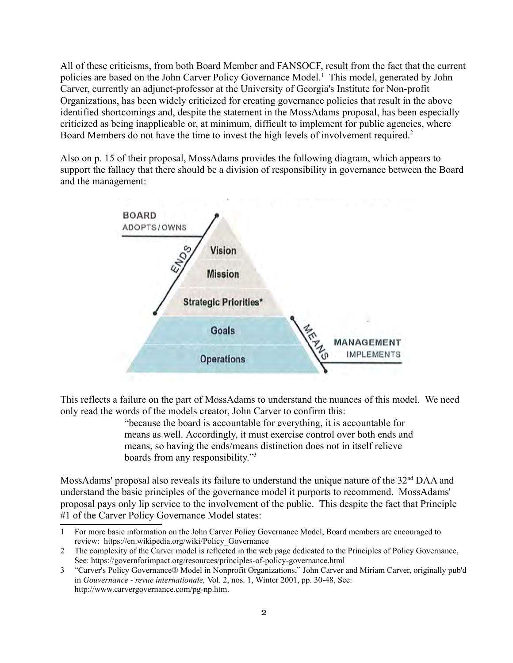All of these criticisms, from both Board Member and FANSOCF, result from the fact that the current policies are based on the John Carver Policy Governance Model.<sup>1</sup> This model, generated by John Carver, currently an adjunct-professor at the University of Georgia's Institute for Non-profit Organizations, has been widely criticized for creating governance policies that result in the above identified shortcomings and, despite the statement in the MossAdams proposal, has been especially criticized as being inapplicable or, at minimum, difficult to implement for public agencies, where Board Members do not have the time to invest the high levels of involvement required.<sup>2</sup>

Also on p. 15 of their proposal, MossAdams provides the following diagram, which appears to support the fallacy that there should be a division of responsibility in governance between the Board and the management:



This reflects a failure on the part of MossAdams to understand the nuances of this model. We need only read the words of the models creator, John Carver to confirm this:

> "because the board is accountable for everything, it is accountable for means as well. Accordingly, it must exercise control over both ends and means, so having the ends/means distinction does not in itself relieve boards from any responsibility."3

MossAdams' proposal also reveals its failure to understand the unique nature of the 32<sup>nd</sup> DAA and understand the basic principles of the governance model it purports to recommend. MossAdams' proposal pays only lip service to the involvement of the public. This despite the fact that Principle #1 of the Carver Policy Governance Model states:

<sup>1</sup> For more basic information on the John Carver Policy Governance Model, Board members are encouraged to review: https://en.wikipedia.org/wiki/Policy\_Governance

<sup>2</sup> The complexity of the Carver model is reflected in the web page dedicated to the Principles of Policy Governance, See: https://governforimpact.org/resources/principles-of-policy-governance.html

<sup>3</sup> "Carver's Policy Governance® Model in Nonprofit Organizations," John Carver and Miriam Carver, originally pub'd in *Gouvernance - revue internationale,* Vol. 2, nos. 1, Winter 2001, pp. 30-48, See: http://www.carvergovernance.com/pg-np.htm.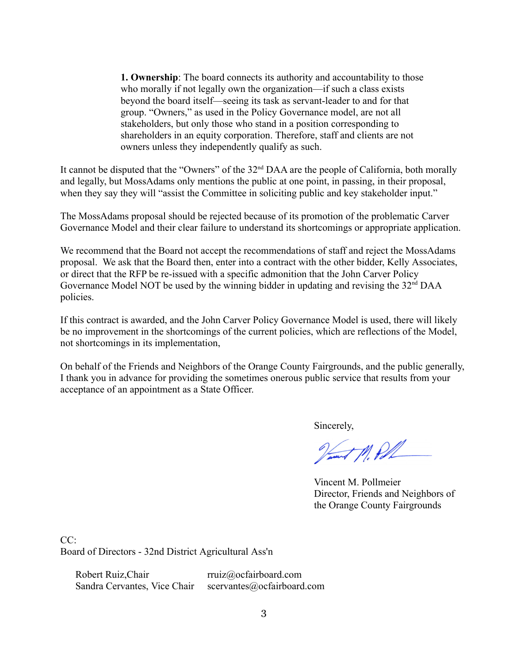**1. Ownership**: The board connects its authority and accountability to those who morally if not legally own the organization—if such a class exists beyond the board itself—seeing its task as servant-leader to and for that group. "Owners," as used in the Policy Governance model, are not all stakeholders, but only those who stand in a position corresponding to shareholders in an equity corporation. Therefore, staff and clients are not owners unless they independently qualify as such.

It cannot be disputed that the "Owners" of the 32<sup>nd</sup> DAA are the people of California, both morally and legally, but MossAdams only mentions the public at one point, in passing, in their proposal, when they say they will "assist the Committee in soliciting public and key stakeholder input."

The MossAdams proposal should be rejected because of its promotion of the problematic Carver Governance Model and their clear failure to understand its shortcomings or appropriate application.

We recommend that the Board not accept the recommendations of staff and reject the MossAdams proposal. We ask that the Board then, enter into a contract with the other bidder, Kelly Associates, or direct that the RFP be re-issued with a specific admonition that the John Carver Policy Governance Model NOT be used by the winning bidder in updating and revising the 32<sup>nd</sup> DAA policies.

If this contract is awarded, and the John Carver Policy Governance Model is used, there will likely be no improvement in the shortcomings of the current policies, which are reflections of the Model, not shortcomings in its implementation,

On behalf of the Friends and Neighbors of the Orange County Fairgrounds, and the public generally, I thank you in advance for providing the sometimes onerous public service that results from your acceptance of an appointment as a State Officer.

Sincerely,

Vant M. Pol

Vincent M. Pollmeier Director, Friends and Neighbors of the Orange County Fairgrounds

CC: Board of Directors - 32nd District Agricultural Ass'n

Robert Ruiz, Chair rruiz@ocfairboard.com Sandra Cervantes, Vice Chair scervantes@ocfairboard.com